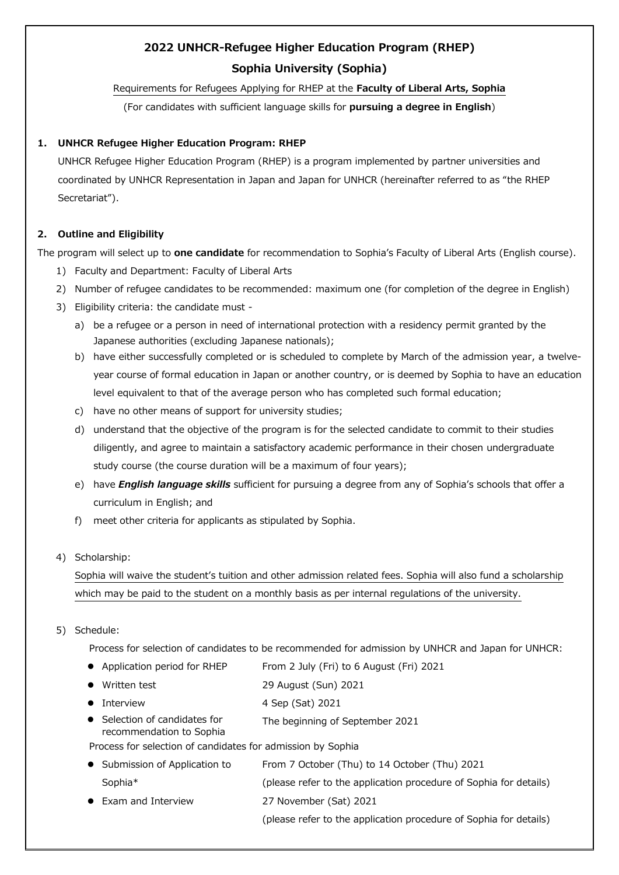# **2022 UNHCR-Refugee Higher Education Program (RHEP) Sophia University (Sophia)**

# Requirements for Refugees Applying for RHEP at the **Faculty of Liberal Arts, Sophia**

(For candidates with sufficient language skills for **pursuing a degree in English**)

# **1. UNHCR Refugee Higher Education Program: RHEP**

UNHCR Refugee Higher Education Program (RHEP) is a program implemented by partner universities and coordinated by UNHCR Representation in Japan and Japan for UNHCR (hereinafter referred to as "the RHEP Secretariat").

# **2. Outline and Eligibility**

The program will select up to **one candidate** for recommendation to Sophia's Faculty of Liberal Arts (English course).

- 1) Faculty and Department: Faculty of Liberal Arts
- 2) Number of refugee candidates to be recommended: maximum one (for completion of the degree in English)
- 3) Eligibility criteria: the candidate must
	- a) be a refugee or a person in need of international protection with a residency permit granted by the Japanese authorities (excluding Japanese nationals);
	- b) have either successfully completed or is scheduled to complete by March of the admission year, a twelveyear course of formal education in Japan or another country, or is deemed by Sophia to have an education level equivalent to that of the average person who has completed such formal education;
	- c) have no other means of support for university studies;
	- d) understand that the objective of the program is for the selected candidate to commit to their studies diligently, and agree to maintain a satisfactory academic performance in their chosen undergraduate study course (the course duration will be a maximum of four years);
	- e) have *English language skills* sufficient for pursuing a degree from any of Sophia's schools that offer a curriculum in English; and
	- f) meet other criteria for applicants as stipulated by Sophia.
- 4) Scholarship:

Sophia will waive the student's tuition and other admission related fees. Sophia will also fund a scholarship which may be paid to the student on a monthly basis as per internal regulations of the university.

5) Schedule:

Process for selection of candidates to be recommended for admission by UNHCR and Japan for UNHCR:

| • Application period for RHEP                             | From 2 July (Fri) to 6 August (Fri) 2021                          |
|-----------------------------------------------------------|-------------------------------------------------------------------|
| Written test<br>$\bullet$                                 | 29 August (Sun) 2021                                              |
| <b>Interview</b><br>$\bullet$                             | 4 Sep (Sat) 2021                                                  |
| • Selection of candidates for<br>recommendation to Sophia | The beginning of September 2021                                   |
|                                                           | Process for selection of candidates for admission by Sophia       |
| • Submission of Application to                            | From 7 October (Thu) to 14 October (Thu) 2021                     |
| Sophia*                                                   | (please refer to the application procedure of Sophia for details) |
| • Exam and Interview                                      | 27 November (Sat) 2021                                            |

(please refer to the application procedure of Sophia for details)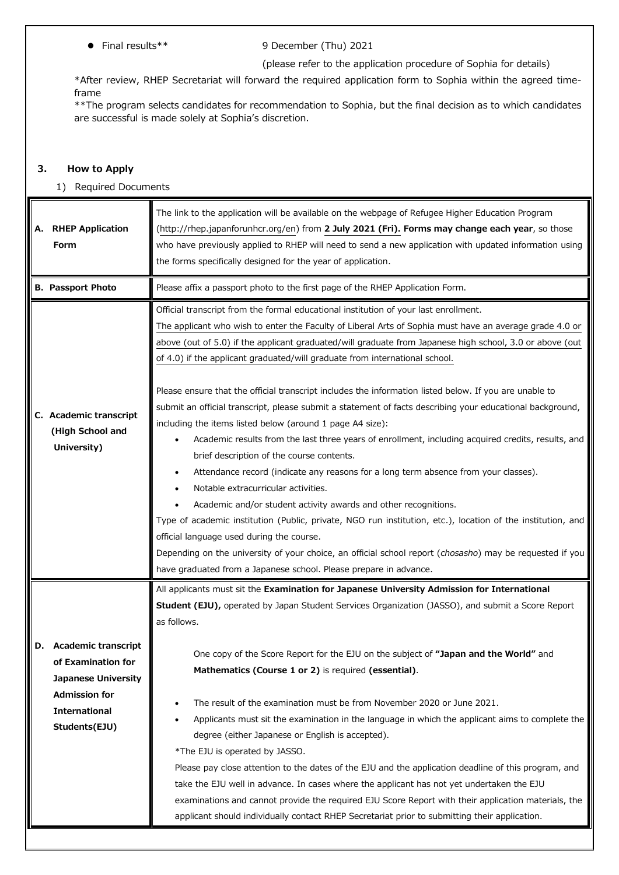# Final results\*\* 9 December (Thu) 2021

### (please refer to the application procedure of Sophia for details)

\*After review, RHEP Secretariat will forward the required application form to Sophia within the agreed timeframe

\*\*The program selects candidates for recommendation to Sophia, but the final decision as to which candidates are successful is made solely at Sophia's discretion.

# **3. How to Apply**

#### 1) Required Documents

| А. | <b>RHEP Application</b><br>Form                                                                                                             | The link to the application will be available on the webpage of Refugee Higher Education Program<br>(http://rhep.japanforunhcr.org/en) from 2 July 2021 (Fri). Forms may change each year, so those<br>who have previously applied to RHEP will need to send a new application with updated information using<br>the forms specifically designed for the year of application.                                                                                                                                                                                                                                                                                                                                                                                                                                                                                           |
|----|---------------------------------------------------------------------------------------------------------------------------------------------|-------------------------------------------------------------------------------------------------------------------------------------------------------------------------------------------------------------------------------------------------------------------------------------------------------------------------------------------------------------------------------------------------------------------------------------------------------------------------------------------------------------------------------------------------------------------------------------------------------------------------------------------------------------------------------------------------------------------------------------------------------------------------------------------------------------------------------------------------------------------------|
|    | <b>B. Passport Photo</b>                                                                                                                    | Please affix a passport photo to the first page of the RHEP Application Form.                                                                                                                                                                                                                                                                                                                                                                                                                                                                                                                                                                                                                                                                                                                                                                                           |
|    |                                                                                                                                             | Official transcript from the formal educational institution of your last enrollment.<br>The applicant who wish to enter the Faculty of Liberal Arts of Sophia must have an average grade 4.0 or<br>above (out of 5.0) if the applicant graduated/will graduate from Japanese high school, 3.0 or above (out<br>of 4.0) if the applicant graduated/will graduate from international school.<br>Please ensure that the official transcript includes the information listed below. If you are unable to                                                                                                                                                                                                                                                                                                                                                                    |
|    | C. Academic transcript<br>(High School and<br>University)                                                                                   | submit an official transcript, please submit a statement of facts describing your educational background,<br>including the items listed below (around 1 page A4 size):<br>Academic results from the last three years of enrollment, including acquired credits, results, and<br>brief description of the course contents.<br>Attendance record (indicate any reasons for a long term absence from your classes).<br>Notable extracurricular activities.<br>Academic and/or student activity awards and other recognitions.<br>Type of academic institution (Public, private, NGO run institution, etc.), location of the institution, and<br>official language used during the course.<br>Depending on the university of your choice, an official school report (chosasho) may be requested if you<br>have graduated from a Japanese school. Please prepare in advance. |
|    |                                                                                                                                             | All applicants must sit the Examination for Japanese University Admission for International<br>Student (EJU), operated by Japan Student Services Organization (JASSO), and submit a Score Report<br>as follows.                                                                                                                                                                                                                                                                                                                                                                                                                                                                                                                                                                                                                                                         |
|    | D. Academic transcript<br>of Examination for<br><b>Japanese University</b><br><b>Admission for</b><br><b>International</b><br>Students(EJU) | One copy of the Score Report for the EJU on the subject of "Japan and the World" and<br>Mathematics (Course 1 or 2) is required (essential).<br>The result of the examination must be from November 2020 or June 2021.<br>Applicants must sit the examination in the language in which the applicant aims to complete the<br>degree (either Japanese or English is accepted).<br>*The EJU is operated by JASSO.<br>Please pay close attention to the dates of the EJU and the application deadline of this program, and<br>take the EJU well in advance. In cases where the applicant has not yet undertaken the EJU<br>examinations and cannot provide the required EJU Score Report with their application materials, the<br>applicant should individually contact RHEP Secretariat prior to submitting their application.                                            |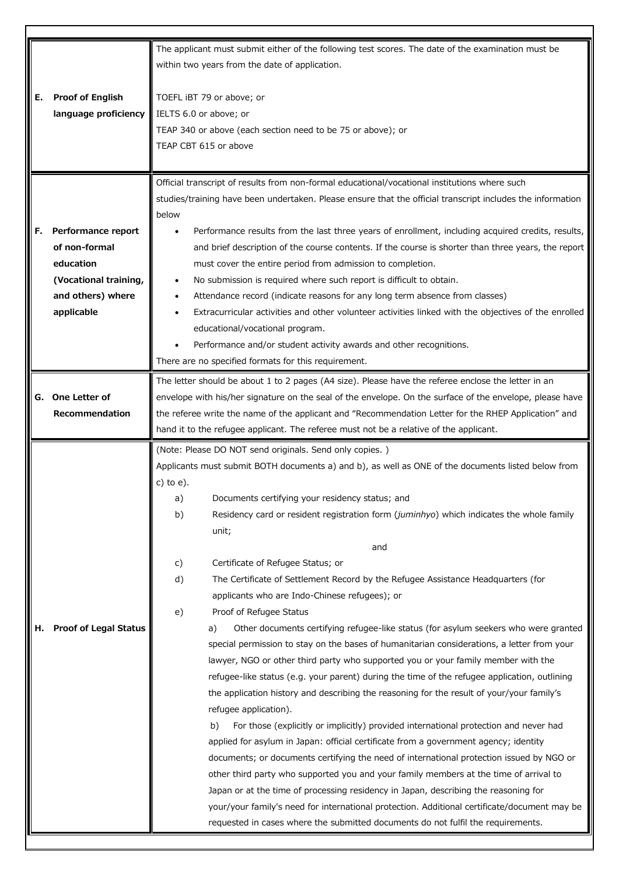|    |                              | The applicant must submit either of the following test scores. The date of the examination must be                                                            |  |  |
|----|------------------------------|---------------------------------------------------------------------------------------------------------------------------------------------------------------|--|--|
|    |                              | within two years from the date of application.                                                                                                                |  |  |
|    |                              |                                                                                                                                                               |  |  |
| Е. | <b>Proof of English</b>      | TOEFL iBT 79 or above; or                                                                                                                                     |  |  |
|    | language proficiency         | IELTS 6.0 or above; or                                                                                                                                        |  |  |
|    |                              | TEAP 340 or above (each section need to be 75 or above); or                                                                                                   |  |  |
|    |                              | TEAP CBT 615 or above                                                                                                                                         |  |  |
|    |                              |                                                                                                                                                               |  |  |
|    |                              |                                                                                                                                                               |  |  |
|    |                              | Official transcript of results from non-formal educational/vocational institutions where such                                                                 |  |  |
|    |                              | studies/training have been undertaken. Please ensure that the official transcript includes the information                                                    |  |  |
|    |                              | below                                                                                                                                                         |  |  |
| F. | Performance report           | Performance results from the last three years of enrollment, including acquired credits, results,                                                             |  |  |
|    | of non-formal                | and brief description of the course contents. If the course is shorter than three years, the report                                                           |  |  |
|    | education                    | must cover the entire period from admission to completion.                                                                                                    |  |  |
|    | (Vocational training,        | No submission is required where such report is difficult to obtain.                                                                                           |  |  |
|    | and others) where            | Attendance record (indicate reasons for any long term absence from classes)                                                                                   |  |  |
|    | applicable                   | Extracurricular activities and other volunteer activities linked with the objectives of the enrolled                                                          |  |  |
|    |                              | educational/vocational program.                                                                                                                               |  |  |
|    |                              | Performance and/or student activity awards and other recognitions.                                                                                            |  |  |
|    |                              | There are no specified formats for this requirement.                                                                                                          |  |  |
|    |                              | The letter should be about 1 to 2 pages (A4 size). Please have the referee enclose the letter in an                                                           |  |  |
| G. | One Letter of                | envelope with his/her signature on the seal of the envelope. On the surface of the envelope, please have                                                      |  |  |
|    | Recommendation               | the referee write the name of the applicant and "Recommendation Letter for the RHEP Application" and                                                          |  |  |
|    |                              | hand it to the refugee applicant. The referee must not be a relative of the applicant.                                                                        |  |  |
|    |                              |                                                                                                                                                               |  |  |
|    |                              | (Note: Please DO NOT send originals. Send only copies.)<br>Applicants must submit BOTH documents a) and b), as well as ONE of the documents listed below from |  |  |
|    |                              |                                                                                                                                                               |  |  |
|    |                              |                                                                                                                                                               |  |  |
|    |                              | $c)$ to $e)$ .                                                                                                                                                |  |  |
|    |                              | a)<br>Documents certifying your residency status; and                                                                                                         |  |  |
|    |                              | b)<br>Residency card or resident registration form (juminhyo) which indicates the whole family                                                                |  |  |
|    |                              | unit;                                                                                                                                                         |  |  |
|    |                              | and                                                                                                                                                           |  |  |
|    |                              | Certificate of Refugee Status; or<br>c)                                                                                                                       |  |  |
|    |                              | d)<br>The Certificate of Settlement Record by the Refugee Assistance Headquarters (for                                                                        |  |  |
|    |                              | applicants who are Indo-Chinese refugees); or                                                                                                                 |  |  |
|    |                              | Proof of Refugee Status<br>e)                                                                                                                                 |  |  |
| н. | <b>Proof of Legal Status</b> | Other documents certifying refugee-like status (for asylum seekers who were granted<br>a)                                                                     |  |  |
|    |                              | special permission to stay on the bases of humanitarian considerations, a letter from your                                                                    |  |  |
|    |                              | lawyer, NGO or other third party who supported you or your family member with the                                                                             |  |  |
|    |                              | refugee-like status (e.g. your parent) during the time of the refugee application, outlining                                                                  |  |  |
|    |                              | the application history and describing the reasoning for the result of your/your family's                                                                     |  |  |
|    |                              | refugee application).                                                                                                                                         |  |  |
|    |                              | For those (explicitly or implicitly) provided international protection and never had<br>b)                                                                    |  |  |
|    |                              | applied for asylum in Japan: official certificate from a government agency; identity                                                                          |  |  |
|    |                              | documents; or documents certifying the need of international protection issued by NGO or                                                                      |  |  |
|    |                              | other third party who supported you and your family members at the time of arrival to                                                                         |  |  |
|    |                              | Japan or at the time of processing residency in Japan, describing the reasoning for                                                                           |  |  |
|    |                              | your/your family's need for international protection. Additional certificate/document may be                                                                  |  |  |
|    |                              | requested in cases where the submitted documents do not fulfil the requirements.                                                                              |  |  |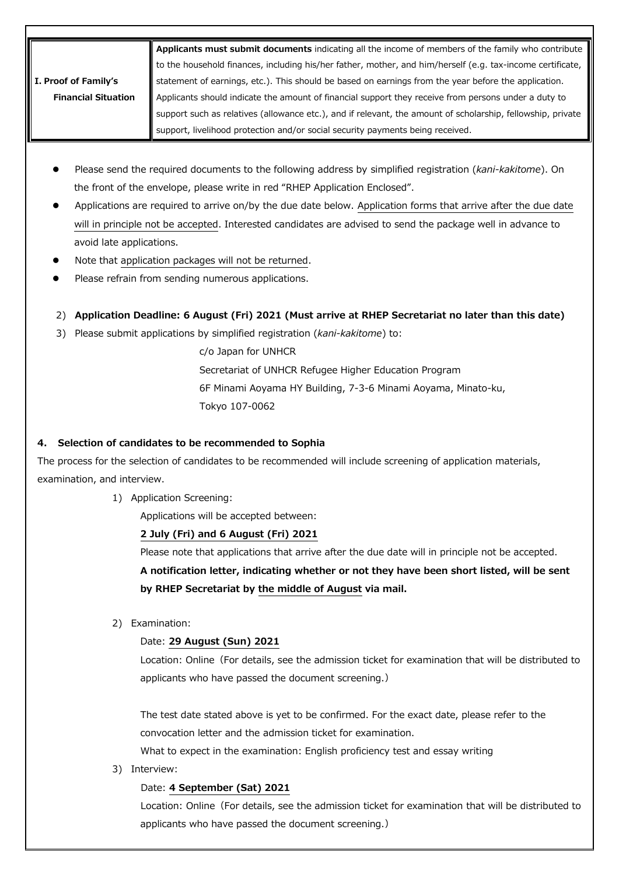|                            | Applicants must submit documents indicating all the income of members of the family who contribute                 |
|----------------------------|--------------------------------------------------------------------------------------------------------------------|
|                            | to the household finances, including his/her father, mother, and him/herself (e.g. tax-income certificate,         |
| I. Proof of Family's       | $\frac{1}{4}$ statement of earnings, etc.). This should be based on earnings from the year before the application. |
| <b>Financial Situation</b> | Applicants should indicate the amount of financial support they receive from persons under a duty to               |
|                            | support such as relatives (allowance etc.), and if relevant, the amount of scholarship, fellowship, private        |
|                            | support, livelihood protection and/or social security payments being received.                                     |

- Please send the required documents to the following address by simplified registration (*kani-kakitome*). On the front of the envelope, please write in red "RHEP Application Enclosed".
- Applications are required to arrive on/by the due date below. Application forms that arrive after the due date will in principle not be accepted. Interested candidates are advised to send the package well in advance to avoid late applications.
- Note that application packages will not be returned.
- Please refrain from sending numerous applications.
- 2) **Application Deadline: 6 August (Fri) 2021 (Must arrive at RHEP Secretariat no later than this date)**
- 3) Please submit applications by simplified registration (*kani-kakitome*) to:

c/o Japan for UNHCR Secretariat of UNHCR Refugee Higher Education Program 6F Minami Aoyama HY Building, 7-3-6 Minami Aoyama, Minato-ku, Tokyo 107-0062

# **4. Selection of candidates to be recommended to Sophia**

The process for the selection of candidates to be recommended will include screening of application materials, examination, and interview.

1) Application Screening:

Applications will be accepted between:

# **2 July (Fri) and 6 August (Fri) 2021**

Please note that applications that arrive after the due date will in principle not be accepted.

**A notification letter, indicating whether or not they have been short listed, will be sent by RHEP Secretariat by the middle of August via mail.**

2) Examination:

# Date: **29 August (Sun) 2021**

Location: Online (For details, see the admission ticket for examination that will be distributed to applicants who have passed the document screening.)

The test date stated above is yet to be confirmed. For the exact date, please refer to the convocation letter and the admission ticket for examination.

What to expect in the examination: English proficiency test and essay writing

3) Interview:

# Date: **4 September (Sat) 2021**

Location: Online (For details, see the admission ticket for examination that will be distributed to applicants who have passed the document screening.)